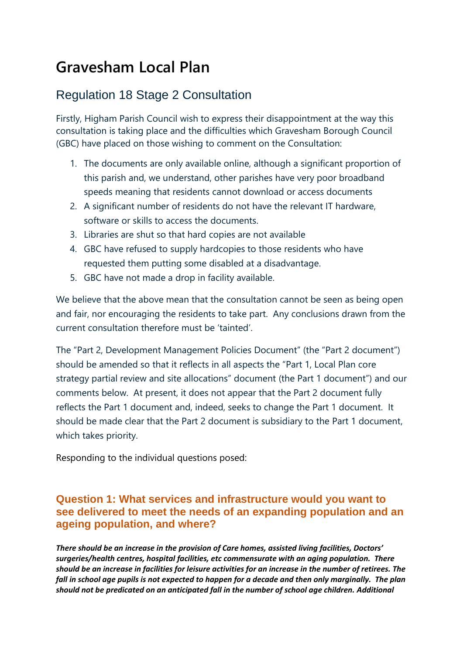# **Gravesham Local Plan**

## Regulation 18 Stage 2 Consultation

Firstly, Higham Parish Council wish to express their disappointment at the way this consultation is taking place and the difficulties which Gravesham Borough Council (GBC) have placed on those wishing to comment on the Consultation:

- 1. The documents are only available online, although a significant proportion of this parish and, we understand, other parishes have very poor broadband speeds meaning that residents cannot download or access documents
- 2. A significant number of residents do not have the relevant IT hardware, software or skills to access the documents.
- 3. Libraries are shut so that hard copies are not available
- 4. GBC have refused to supply hardcopies to those residents who have requested them putting some disabled at a disadvantage.
- 5. GBC have not made a drop in facility available.

We believe that the above mean that the consultation cannot be seen as being open and fair, nor encouraging the residents to take part. Any conclusions drawn from the current consultation therefore must be 'tainted'.

The "Part 2, Development Management Policies Document" (the "Part 2 document") should be amended so that it reflects in all aspects the "Part 1, Local Plan core strategy partial review and site allocations" document (the Part 1 document") and our comments below. At present, it does not appear that the Part 2 document fully reflects the Part 1 document and, indeed, seeks to change the Part 1 document. It should be made clear that the Part 2 document is subsidiary to the Part 1 document, which takes priority.

Responding to the individual questions posed:

### **Question 1: What services and infrastructure would you want to see delivered to meet the needs of an expanding population and an ageing population, and where?**

*There should be an increase in the provision of Care homes, assisted living facilities, Doctors' surgeries/health centres, hospital facilities, etc commensurate with an aging population. There should be an increase in facilities for leisure activities for an increase in the number of retirees. The fall in school age pupils is not expected to happen for a decade and then only marginally. The plan should not be predicated on an anticipated fall in the number of school age children. Additional*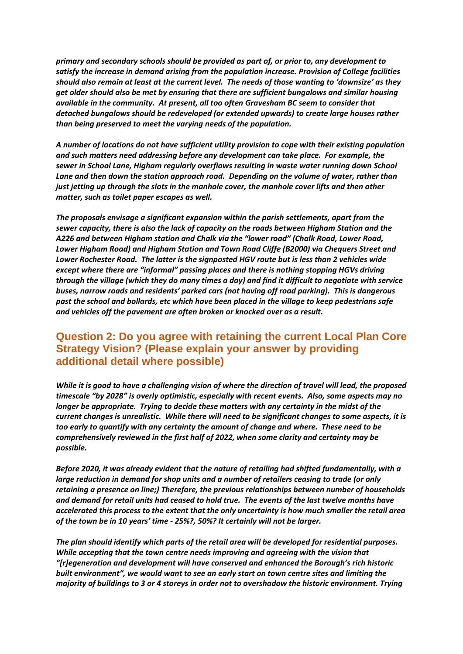*primary and secondary schools should be provided as part of, or prior to, any development to satisfy the increase in demand arising from the population increase. Provision of College facilities should also remain at least at the current level. The needs of those wanting to 'downsize' as they get older should also be met by ensuring that there are sufficient bungalows and similar housing available in the community. At present, all too often Gravesham BC seem to consider that detached bungalows should be redeveloped (or extended upwards) to create large houses rather than being preserved to meet the varying needs of the population.*

*A number of locations do not have sufficient utility provision to cope with their existing population and such matters need addressing before any development can take place. For example, the sewer in School Lane, Higham regularly overflows resulting in waste water running down School Lane and then down the station approach road. Depending on the volume of water, rather than just jetting up through the slots in the manhole cover, the manhole cover lifts and then other matter, such as toilet paper escapes as well.*

*The proposals envisage a significant expansion within the parish settlements, apart from the sewer capacity, there is also the lack of capacity on the roads between Higham Station and the A226 and between Higham station and Chalk via the "lower road" (Chalk Road, Lower Road, Lower Higham Road) and Higham Station and Town Road Cliffe (B2000) via Chequers Street and Lower Rochester Road. The latter is the signposted HGV route but is less than 2 vehicles wide except where there are "informal" passing places and there is nothing stopping HGVs driving through the village (which they do many times a day) and find it difficult to negotiate with service buses, narrow roads and residents' parked cars (not having off road parking). This is dangerous past the school and bollards, etc which have been placed in the village to keep pedestrians safe and vehicles off the pavement are often broken or knocked over as a result.*

#### **Question 2: Do you agree with retaining the current Local Plan Core Strategy Vision? (Please explain your answer by providing additional detail where possible)**

*While it is good to have a challenging vision of where the direction of travel will lead, the proposed timescale "by 2028" is overly optimistic, especially with recent events. Also, some aspects may no longer be appropriate. Trying to decide these matters with any certainty in the midst of the current changes is unrealistic. While there will need to be significant changes to some aspects, it is too early to quantify with any certainty the amount of change and where. These need to be comprehensively reviewed in the first half of 2022, when some clarity and certainty may be possible.*

*Before 2020, it was already evident that the nature of retailing had shifted fundamentally, with a large reduction in demand for shop units and a number of retailers ceasing to trade (or only retaining a presence on line;) Therefore, the previous relationships between number of households and demand for retail units had ceased to hold true. The events of the last twelve months have accelerated this process to the extent that the only uncertainty is how much smaller the retail area of the town be in 10 years' time - 25%?, 50%? It certainly will not be larger.*

*The plan should identify which parts of the retail area will be developed for residential purposes. While accepting that the town centre needs improving and agreeing with the vision that "[r]egeneration and development will have conserved and enhanced the Borough's rich historic built environment", we would want to see an early start on town centre sites and limiting the majority of buildings to 3 or 4 storeys in order not to overshadow the historic environment. Trying*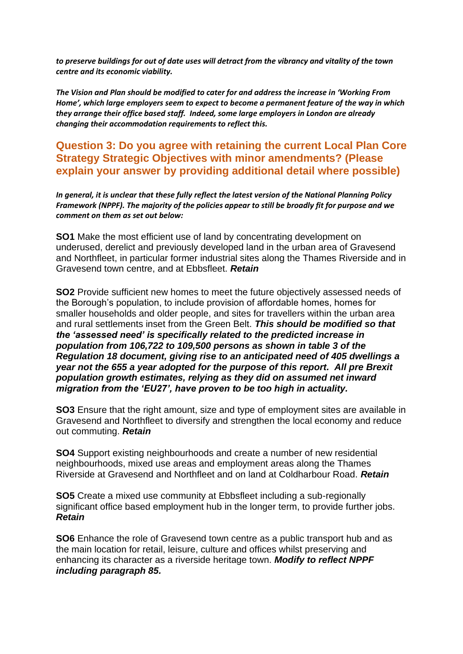*to preserve buildings for out of date uses will detract from the vibrancy and vitality of the town centre and its economic viability.*

*The Vision and Plan should be modified to cater for and address the increase in 'Working From Home', which large employers seem to expect to become a permanent feature of the way in which they arrange their office based staff. Indeed, some large employers in London are already changing their accommodation requirements to reflect this.*

#### **Question 3: Do you agree with retaining the current Local Plan Core Strategy Strategic Objectives with minor amendments? (Please explain your answer by providing additional detail where possible)**

*In general, it is unclear that these fully reflect the latest version of the National Planning Policy Framework (NPPF). The majority of the policies appear to still be broadly fit for purpose and we comment on them as set out below:* 

**SO1** Make the most efficient use of land by concentrating development on underused, derelict and previously developed land in the urban area of Gravesend and Northfleet, in particular former industrial sites along the Thames Riverside and in Gravesend town centre, and at Ebbsfleet. *Retain*

**SO2** Provide sufficient new homes to meet the future objectively assessed needs of the Borough's population, to include provision of affordable homes, homes for smaller households and older people, and sites for travellers within the urban area and rural settlements inset from the Green Belt. *This should be modified so that the 'assessed need' is specifically related to the predicted increase in population from 106,722 to 109,500 persons as shown in table 3 of the Regulation 18 document, giving rise to an anticipated need of 405 dwellings a year not the 655 a year adopted for the purpose of this report. All pre Brexit population growth estimates, relying as they did on assumed net inward migration from the 'EU27', have proven to be too high in actuality.*

**SO3** Ensure that the right amount, size and type of employment sites are available in Gravesend and Northfleet to diversify and strengthen the local economy and reduce out commuting. *Retain*

**SO4** Support existing neighbourhoods and create a number of new residential neighbourhoods, mixed use areas and employment areas along the Thames Riverside at Gravesend and Northfleet and on land at Coldharbour Road. *Retain*

**SO5** Create a mixed use community at Ebbsfleet including a sub-regionally significant office based employment hub in the longer term, to provide further jobs. *Retain*

**SO6** Enhance the role of Gravesend town centre as a public transport hub and as the main location for retail, leisure, culture and offices whilst preserving and enhancing its character as a riverside heritage town. *Modify to reflect NPPF including paragraph 85.*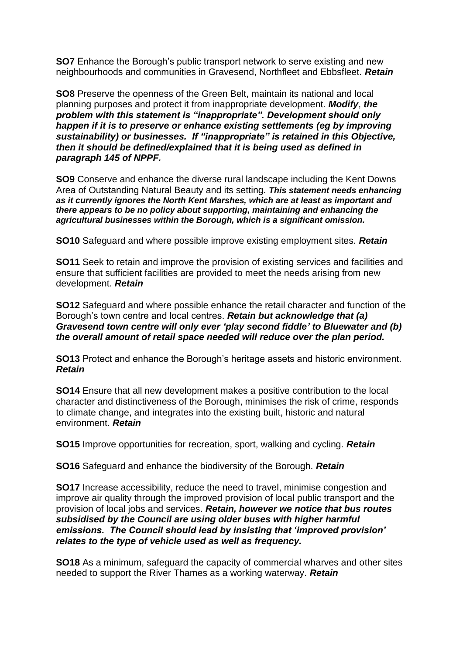**SO7** Enhance the Borough's public transport network to serve existing and new neighbourhoods and communities in Gravesend, Northfleet and Ebbsfleet. *Retain*

**SO8** Preserve the openness of the Green Belt, maintain its national and local planning purposes and protect it from inappropriate development. *Modify*, *the problem with this statement is "inappropriate". Development should only happen if it is to preserve or enhance existing settlements (eg by improving sustainability) or businesses. If "inappropriate" is retained in this Objective, then it should be defined/explained that it is being used as defined in paragraph 145 of NPPF.*

**SO9** Conserve and enhance the diverse rural landscape including the Kent Downs Area of Outstanding Natural Beauty and its setting. *This statement needs enhancing as it currently ignores the North Kent Marshes, which are at least as important and there appears to be no policy about supporting, maintaining and enhancing the agricultural businesses within the Borough, which is a significant omission.*

**SO10** Safeguard and where possible improve existing employment sites. *Retain*

**SO11** Seek to retain and improve the provision of existing services and facilities and ensure that sufficient facilities are provided to meet the needs arising from new development. *Retain*

**SO12** Safeguard and where possible enhance the retail character and function of the Borough's town centre and local centres. *Retain but acknowledge that (a) Gravesend town centre will only ever 'play second fiddle' to Bluewater and (b) the overall amount of retail space needed will reduce over the plan period.*

**SO13** Protect and enhance the Borough's heritage assets and historic environment. *Retain*

**SO14** Ensure that all new development makes a positive contribution to the local character and distinctiveness of the Borough, minimises the risk of crime, responds to climate change, and integrates into the existing built, historic and natural environment. *Retain*

**SO15** Improve opportunities for recreation, sport, walking and cycling. *Retain*

**SO16** Safeguard and enhance the biodiversity of the Borough. *Retain*

**SO17** Increase accessibility, reduce the need to travel, minimise congestion and improve air quality through the improved provision of local public transport and the provision of local jobs and services. *Retain, however we notice that bus routes subsidised by the Council are using older buses with higher harmful emissions. The Council should lead by insisting that 'improved provision' relates to the type of vehicle used as well as frequency.*

**SO18** As a minimum, safeguard the capacity of commercial wharves and other sites needed to support the River Thames as a working waterway. *Retain*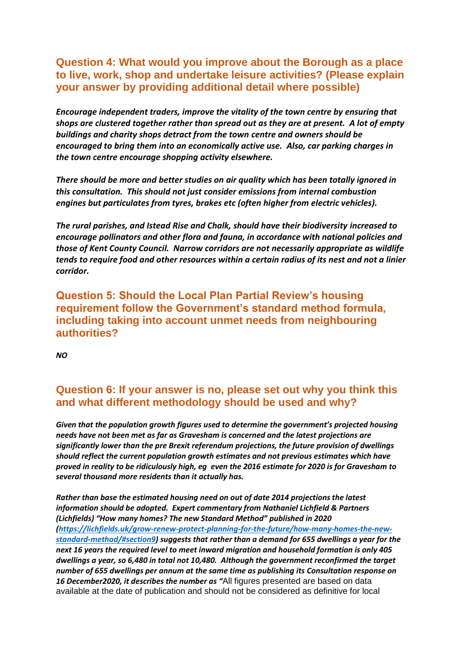#### **Question 4: What would you improve about the Borough as a place to live, work, shop and undertake leisure activities? (Please explain your answer by providing additional detail where possible)**

*Encourage independent traders, improve the vitality of the town centre by ensuring that shops are clustered together rather than spread out as they are at present. A lot of empty buildings and charity shops detract from the town centre and owners should be encouraged to bring them into an economically active use. Also, car parking charges in the town centre encourage shopping activity elsewhere.*

*There should be more and better studies on air quality which has been totally ignored in this consultation. This should not just consider emissions from internal combustion engines but particulates from tyres, brakes etc (often higher from electric vehicles).*

*The rural parishes, and Istead Rise and Chalk, should have their biodiversity increased to encourage pollinators and other flora and fauna, in accordance with national policies and those of Kent County Council. Narrow corridors are not necessarily appropriate as wildlife tends to require food and other resources within a certain radius of its nest and not a linier corridor.*

**Question 5: Should the Local Plan Partial Review's housing requirement follow the Government's standard method formula, including taking into account unmet needs from neighbouring authorities?**

*NO* 

#### **Question 6: If your answer is no, please set out why you think this and what different methodology should be used and why?**

*Given that the population growth figures used to determine the government's projected housing needs have not been met as far as Gravesham is concerned and the latest projections are significantly lower than the pre Brexit referendum projections, the future provision of dwellings should reflect the current population growth estimates and not previous estimates which have proved in reality to be ridiculously high, eg even the 2016 estimate for 2020 is for Gravesham to several thousand more residents than it actually has.* 

*Rather than base the estimated housing need on out of date 2014 projections the latest information should be adopted. Expert commentary from Nathaniel Lichfield & Partners (Lichfields) "How many homes? The new Standard Method" published in 2020 [\(https://lichfields.uk/grow-renew-protect-planning-for-the-future/how-many-homes-the-new](https://lichfields.uk/grow-renew-protect-planning-for-the-future/how-many-homes-the-new-standard-method/#section9)[standard-method/#section9\)](https://lichfields.uk/grow-renew-protect-planning-for-the-future/how-many-homes-the-new-standard-method/#section9) suggests that rather than a demand for 655 dwellings a year for the next 16 years the required level to meet inward migration and household formation is only 405 dwellings a year, so 6,480 in total not 10,480. Although the government reconfirmed the target number of 655 dwellings per annum at the same time as publishing its Consultation response on 16 December2020, it describes the number as "*All figures presented are based on data available at the date of publication and should not be considered as definitive for local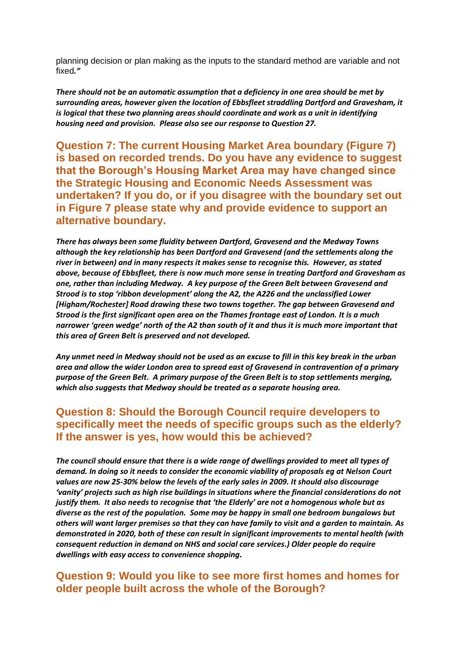planning decision or plan making as the inputs to the standard method are variable and not fixed*."*

*There should not be an automatic assumption that a deficiency in one area should be met by surrounding areas, however given the location of Ebbsfleet straddling Dartford and Gravesham, it is logical that these two planning areas should coordinate and work as a unit in identifying housing need and provision. Please also see our response to Question 27.*

**Question 7: The current Housing Market Area boundary (Figure 7) is based on recorded trends. Do you have any evidence to suggest that the Borough's Housing Market Area may have changed since the Strategic Housing and Economic Needs Assessment was undertaken? If you do, or if you disagree with the boundary set out in Figure 7 please state why and provide evidence to support an alternative boundary.**

*There has always been some fluidity between Dartford, Gravesend and the Medway Towns although the key relationship has been Dartford and Gravesend (and the settlements along the river in between) and in many respects it makes sense to recognise this. However, as stated above, because of Ebbsfleet, there is now much more sense in treating Dartford and Gravesham as one, rather than including Medway. A key purpose of the Green Belt between Gravesend and Strood is to stop 'ribbon development' along the A2, the A226 and the unclassified Lower [Higham/Rochester] Road drawing these two towns together. The gap between Gravesend and Strood is the first significant open area on the Thames frontage east of London. It is a much narrower 'green wedge' north of the A2 than south of it and thus it is much more important that this area of Green Belt is preserved and not developed.*

*Any unmet need in Medway should not be used as an excuse to fill in this key break in the urban area and allow the wider London area to spread east of Gravesend in contravention of a primary purpose of the Green Belt. A primary purpose of the Green Belt is to stop settlements merging, which also suggests that Medway should be treated as a separate housing area.* 

#### **Question 8: Should the Borough Council require developers to specifically meet the needs of specific groups such as the elderly? If the answer is yes, how would this be achieved?**

*The council should ensure that there is a wide range of dwellings provided to meet all types of demand. In doing so it needs to consider the economic viability of proposals eg at Nelson Court values are now 25-30% below the levels of the early sales in 2009. It should also discourage 'vanity' projects such as high rise buildings in situations where the financial considerations do not justify them. It also needs to recognise that 'the Elderly' are not a homogenous whole but as diverse as the rest of the population. Some may be happy in small one bedroom bungalows but others will want larger premises so that they can have family to visit and a garden to maintain. As demonstrated in 2020, both of these can result in significant improvements to mental health (with consequent reduction in demand on NHS and social care services.) Older people do require dwellings with easy access to convenience shopping.*

#### **Question 9: Would you like to see more first homes and homes for older people built across the whole of the Borough?**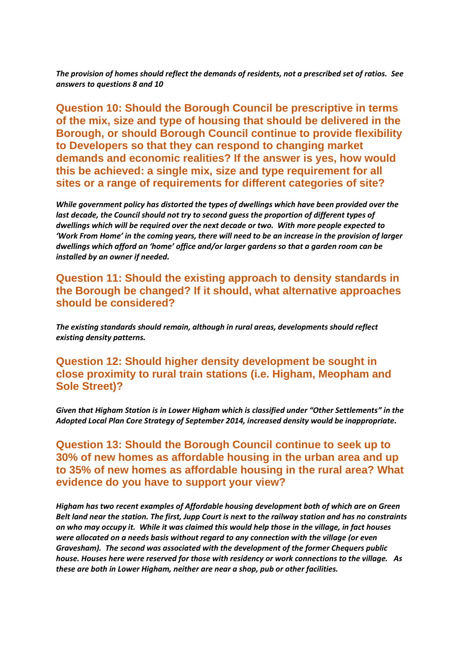*The provision of homes should reflect the demands of residents, not a prescribed set of ratios. See answers to questions 8 and 10*

**Question 10: Should the Borough Council be prescriptive in terms of the mix, size and type of housing that should be delivered in the Borough, or should Borough Council continue to provide flexibility to Developers so that they can respond to changing market demands and economic realities? If the answer is yes, how would this be achieved: a single mix, size and type requirement for all sites or a range of requirements for different categories of site?**

*While government policy has distorted the types of dwellings which have been provided over the last decade, the Council should not try to second guess the proportion of different types of dwellings which will be required over the next decade or two. With more people expected to 'Work From Home' in the coming years, there will need to be an increase in the provision of larger dwellings which afford an 'home' office and/or larger gardens so that a garden room can be installed by an owner if needed.*

**Question 11: Should the existing approach to density standards in the Borough be changed? If it should, what alternative approaches should be considered?**

*The existing standards should remain, although in rural areas, developments should reflect existing density patterns.* 

**Question 12: Should higher density development be sought in close proximity to rural train stations (i.e. Higham, Meopham and Sole Street)?**

*Given that Higham Station is in Lower Higham which is classified under "Other Settlements" in the Adopted Local Plan Core Strategy of September 2014, increased density would be inappropriate.*

**Question 13: Should the Borough Council continue to seek up to 30% of new homes as affordable housing in the urban area and up to 35% of new homes as affordable housing in the rural area? What evidence do you have to support your view?**

*Higham has two recent examples of Affordable housing development both of which are on Green Belt land near the station. The first, Jupp Court is next to the railway station and has no constraints on who may occupy it. While it was claimed this would help those in the village, in fact houses were allocated on a needs basis without regard to any connection with the village (or even Gravesham). The second was associated with the development of the former Chequers public house. Houses here were reserved for those with residency or work connections to the village. As these are both in Lower Higham, neither are near a shop, pub or other facilities.*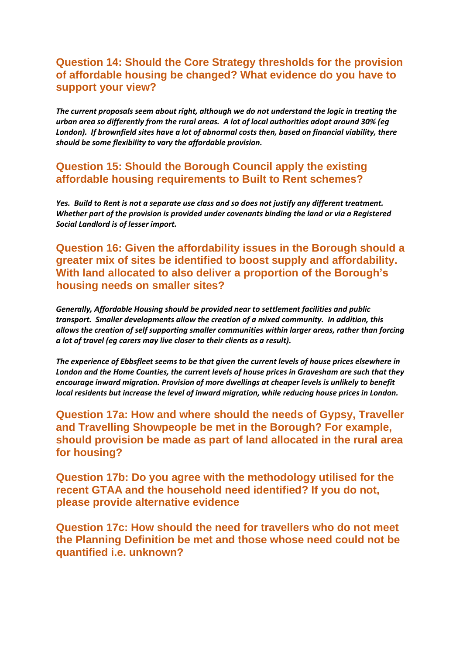#### **Question 14: Should the Core Strategy thresholds for the provision of affordable housing be changed? What evidence do you have to support your view?**

*The current proposals seem about right, although we do not understand the logic in treating the urban area so differently from the rural areas. A lot of local authorities adopt around 30% (eg London). If brownfield sites have a lot of abnormal costs then, based on financial viability, there should be some flexibility to vary the affordable provision.*

#### **Question 15: Should the Borough Council apply the existing affordable housing requirements to Built to Rent schemes?**

*Yes. Build to Rent is not a separate use class and so does not justify any different treatment. Whether part of the provision is provided under covenants binding the land or via a Registered Social Landlord is of lesser import.* 

#### **Question 16: Given the affordability issues in the Borough should a greater mix of sites be identified to boost supply and affordability. With land allocated to also deliver a proportion of the Borough's housing needs on smaller sites?**

*Generally, Affordable Housing should be provided near to settlement facilities and public transport. Smaller developments allow the creation of a mixed community. In addition, this allows the creation of self supporting smaller communities within larger areas, rather than forcing a lot of travel (eg carers may live closer to their clients as a result).*

*The experience of Ebbsfleet seems to be that given the current levels of house prices elsewhere in London and the Home Counties, the current levels of house prices in Gravesham are such that they encourage inward migration. Provision of more dwellings at cheaper levels is unlikely to benefit local residents but increase the level of inward migration, while reducing house prices in London.* 

**Question 17a: How and where should the needs of Gypsy, Traveller and Travelling Showpeople be met in the Borough? For example, should provision be made as part of land allocated in the rural area for housing?**

**Question 17b: Do you agree with the methodology utilised for the recent GTAA and the household need identified? If you do not, please provide alternative evidence**

**Question 17c: How should the need for travellers who do not meet the Planning Definition be met and those whose need could not be quantified i.e. unknown?**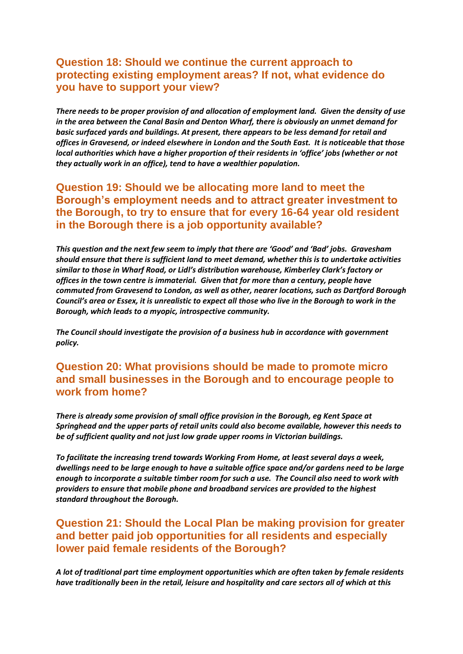#### **Question 18: Should we continue the current approach to protecting existing employment areas? If not, what evidence do you have to support your view?**

*There needs to be proper provision of and allocation of employment land. Given the density of use in the area between the Canal Basin and Denton Wharf, there is obviously an unmet demand for basic surfaced yards and buildings. At present, there appears to be less demand for retail and offices in Gravesend, or indeed elsewhere in London and the South East. It is noticeable that those local authorities which have a higher proportion of their residents in 'office' jobs (whether or not they actually work in an office), tend to have a wealthier population.*

#### **Question 19: Should we be allocating more land to meet the Borough's employment needs and to attract greater investment to the Borough, to try to ensure that for every 16-64 year old resident in the Borough there is a job opportunity available?**

*This question and the next few seem to imply that there are 'Good' and 'Bad' jobs. Gravesham should ensure that there is sufficient land to meet demand, whether this is to undertake activities similar to those in Wharf Road, or Lidl's distribution warehouse, Kimberley Clark's factory or offices in the town centre is immaterial. Given that for more than a century, people have commuted from Gravesend to London, as well as other, nearer locations, such as Dartford Borough Council's area or Essex, it is unrealistic to expect all those who live in the Borough to work in the Borough, which leads to a myopic, introspective community.* 

*The Council should investigate the provision of a business hub in accordance with government policy.*

#### **Question 20: What provisions should be made to promote micro and small businesses in the Borough and to encourage people to work from home?**

*There is already some provision of small office provision in the Borough, eg Kent Space at Springhead and the upper parts of retail units could also become available, however this needs to be of sufficient quality and not just low grade upper rooms in Victorian buildings.*

*To facilitate the increasing trend towards Working From Home, at least several days a week, dwellings need to be large enough to have a suitable office space and/or gardens need to be large enough to incorporate a suitable timber room for such a use. The Council also need to work with providers to ensure that mobile phone and broadband services are provided to the highest standard throughout the Borough.*

#### **Question 21: Should the Local Plan be making provision for greater and better paid job opportunities for all residents and especially lower paid female residents of the Borough?**

*A lot of traditional part time employment opportunities which are often taken by female residents have traditionally been in the retail, leisure and hospitality and care sectors all of which at this*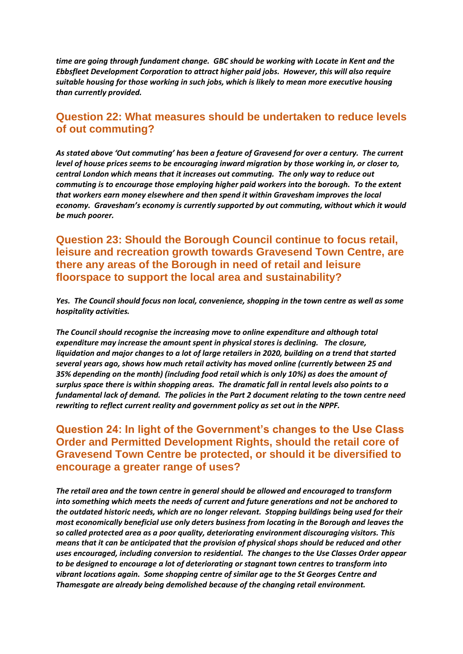*time are going through fundament change. GBC should be working with Locate in Kent and the Ebbsfleet Development Corporation to attract higher paid jobs. However, this will also require suitable housing for those working in such jobs, which is likely to mean more executive housing than currently provided.*

#### **Question 22: What measures should be undertaken to reduce levels of out commuting?**

*As stated above 'Out commuting' has been a feature of Gravesend for over a century. The current level of house prices seems to be encouraging inward migration by those working in, or closer to, central London which means that it increases out commuting. The only way to reduce out commuting is to encourage those employing higher paid workers into the borough. To the extent that workers earn money elsewhere and then spend it within Gravesham improves the local economy. Gravesham's economy is currently supported by out commuting, without which it would be much poorer.*

#### **Question 23: Should the Borough Council continue to focus retail, leisure and recreation growth towards Gravesend Town Centre, are there any areas of the Borough in need of retail and leisure floorspace to support the local area and sustainability?**

*Yes. The Council should focus non local, convenience, shopping in the town centre as well as some hospitality activities.* 

*The Council should recognise the increasing move to online expenditure and although total expenditure may increase the amount spent in physical stores is declining. The closure, liquidation and major changes to a lot of large retailers in 2020, building on a trend that started several years ago, shows how much retail activity has moved online (currently between 25 and 35% depending on the month) (including food retail which is only 10%) as does the amount of surplus space there is within shopping areas. The dramatic fall in rental levels also points to a fundamental lack of demand. The policies in the Part 2 document relating to the town centre need rewriting to reflect current reality and government policy as set out in the NPPF.*

#### **Question 24: In light of the Government's changes to the Use Class Order and Permitted Development Rights, should the retail core of Gravesend Town Centre be protected, or should it be diversified to encourage a greater range of uses?**

*The retail area and the town centre in general should be allowed and encouraged to transform into something which meets the needs of current and future generations and not be anchored to the outdated historic needs, which are no longer relevant. Stopping buildings being used for their most economically beneficial use only deters business from locating in the Borough and leaves the so called protected area as a poor quality, deteriorating environment discouraging visitors. This means that it can be anticipated that the provision of physical shops should be reduced and other uses encouraged, including conversion to residential. The changes to the Use Classes Order appear to be designed to encourage a lot of deteriorating or stagnant town centres to transform into vibrant locations again. Some shopping centre of similar age to the St Georges Centre and Thamesgate are already being demolished because of the changing retail environment.*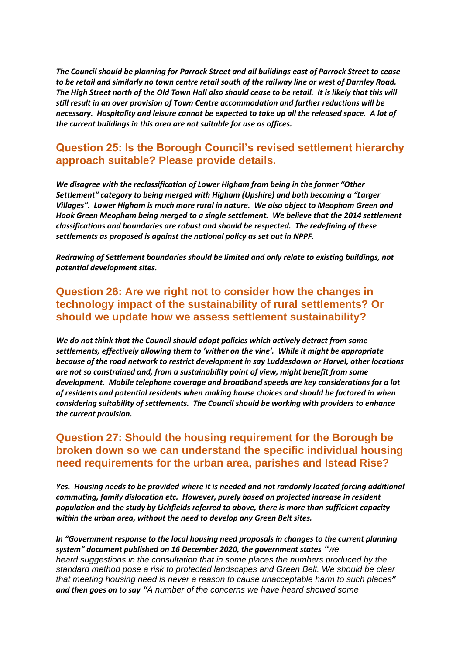*The Council should be planning for Parrock Street and all buildings east of Parrock Street to cease to be retail and similarly no town centre retail south of the railway line or west of Darnley Road. The High Street north of the Old Town Hall also should cease to be retail. It is likely that this will still result in an over provision of Town Centre accommodation and further reductions will be necessary. Hospitality and leisure cannot be expected to take up all the released space. A lot of the current buildings in this area are not suitable for use as offices.*

#### **Question 25: Is the Borough Council's revised settlement hierarchy approach suitable? Please provide details.**

*We disagree with the reclassification of Lower Higham from being in the former "Other Settlement" category to being merged with Higham (Upshire) and both becoming a "Larger Villages". Lower Higham is much more rural in nature. We also object to Meopham Green and Hook Green Meopham being merged to a single settlement. We believe that the 2014 settlement classifications and boundaries are robust and should be respected. The redefining of these settlements as proposed is against the national policy as set out in NPPF.*

*Redrawing of Settlement boundaries should be limited and only relate to existing buildings, not potential development sites.* 

#### **Question 26: Are we right not to consider how the changes in technology impact of the sustainability of rural settlements? Or should we update how we assess settlement sustainability?**

*We do not think that the Council should adopt policies which actively detract from some settlements, effectively allowing them to 'wither on the vine'. While it might be appropriate because of the road network to restrict development in say Luddesdown or Harvel, other locations are not so constrained and, from a sustainability point of view, might benefit from some development. Mobile telephone coverage and broadband speeds are key considerations for a lot of residents and potential residents when making house choices and should be factored in when considering suitability of settlements. The Council should be working with providers to enhance the current provision.*

#### **Question 27: Should the housing requirement for the Borough be broken down so we can understand the specific individual housing need requirements for the urban area, parishes and Istead Rise?**

*Yes. Housing needs to be provided where it is needed and not randomly located forcing additional commuting, family dislocation etc. However, purely based on projected increase in resident population and the study by Lichfields referred to above, there is more than sufficient capacity within the urban area, without the need to develop any Green Belt sites.*

*In "Government response to the local housing need proposals in changes to the current planning system" document published on 16 December 2020, the government states "we heard suggestions in the consultation that in some places the numbers produced by the standard method pose a risk to protected landscapes and Green Belt. We should be clear that meeting housing need is never a reason to cause unacceptable harm to such places" and then goes on to say "A number of the concerns we have heard showed some*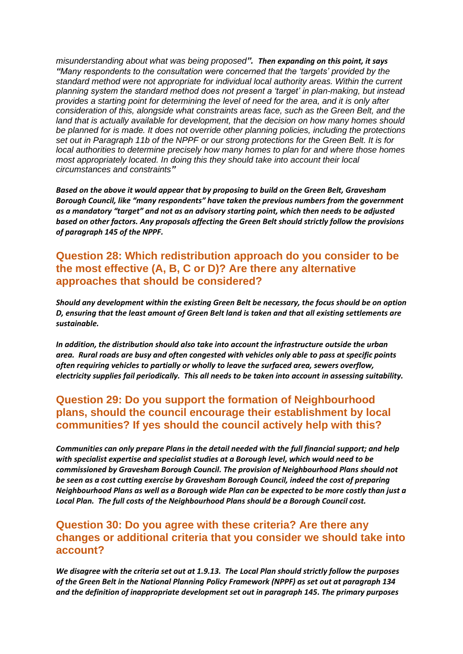*misunderstanding about what was being proposed". Then expanding on this point, it says "Many respondents to the consultation were concerned that the 'targets' provided by the standard method were not appropriate for individual local authority areas. Within the current planning system the standard method does not present a 'target' in plan-making, but instead provides a starting point for determining the level of need for the area, and it is only after consideration of this, alongside what constraints areas face, such as the Green Belt, and the land that is actually available for development, that the decision on how many homes should be planned for is made. It does not override other planning policies, including the protections set out in [Paragraph 11b of the NPPF](https://www.gov.uk/guidance/national-planning-policy-framework/2-achieving-sustainable-development#para011) or our strong protections for the Green Belt. It is for local authorities to determine precisely how many homes to plan for and where those homes most appropriately located. In doing this they should take into account their local circumstances and constraints"*

*Based on the above it would appear that by proposing to build on the Green Belt, Gravesham Borough Council, like "many respondents" have taken the previous numbers from the government as a mandatory "target" and not as an advisory starting point, which then needs to be adjusted based on other factors. Any proposals affecting the Green Belt should strictly follow the provisions of paragraph 145 of the NPPF.*

**Question 28: Which redistribution approach do you consider to be the most effective (A, B, C or D)? Are there any alternative approaches that should be considered?**

*Should any development within the existing Green Belt be necessary, the focus should be on option D, ensuring that the least amount of Green Belt land is taken and that all existing settlements are sustainable.*

*In addition, the distribution should also take into account the infrastructure outside the urban area. Rural roads are busy and often congested with vehicles only able to pass at specific points often requiring vehicles to partially or wholly to leave the surfaced area, sewers overflow, electricity supplies fail periodically. This all needs to be taken into account in assessing suitability.* 

#### **Question 29: Do you support the formation of Neighbourhood plans, should the council encourage their establishment by local communities? If yes should the council actively help with this?**

*Communities can only prepare Plans in the detail needed with the full financial support; and help with specialist expertise and specialist studies at a Borough level, which would need to be commissioned by Gravesham Borough Council. The provision of Neighbourhood Plans should not be seen as a cost cutting exercise by Gravesham Borough Council, indeed the cost of preparing Neighbourhood Plans as well as a Borough wide Plan can be expected to be more costly than just a Local Plan. The full costs of the Neighbourhood Plans should be a Borough Council cost.*

#### **Question 30: Do you agree with these criteria? Are there any changes or additional criteria that you consider we should take into account?**

*We disagree with the criteria set out at 1.9.13. The Local Plan should strictly follow the purposes of the Green Belt in the National Planning Policy Framework (NPPF) as set out at paragraph 134 and the definition of inappropriate development set out in paragraph 145. The primary purposes*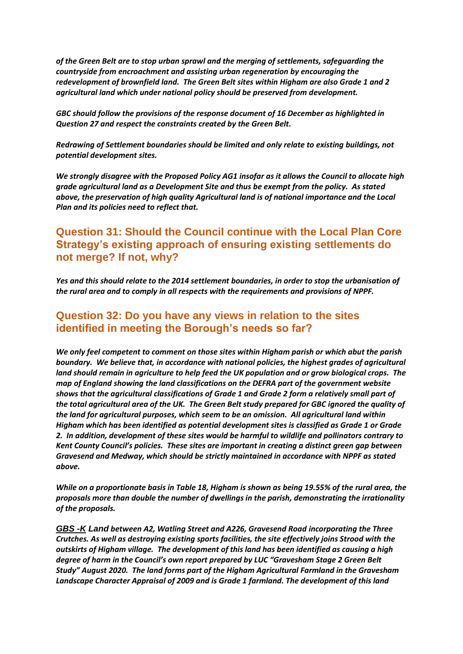*of the Green Belt are to stop urban sprawl and the merging of settlements, safeguarding the countryside from encroachment and assisting urban regeneration by encouraging the redevelopment of brownfield land. The Green Belt sites within Higham are also Grade 1 and 2 agricultural land which under national policy should be preserved from development.*

*GBC should follow the provisions of the response document of 16 December as highlighted in Question 27 and respect the constraints created by the Green Belt.*

*Redrawing of Settlement boundaries should be limited and only relate to existing buildings, not potential development sites.* 

*We strongly disagree with the Proposed Policy AG1 insofar as it allows the Council to allocate high grade agricultural land as a Development Site and thus be exempt from the policy. As stated above, the preservation of high quality Agricultural land is of national importance and the Local Plan and its policies need to reflect that.*

#### **Question 31: Should the Council continue with the Local Plan Core Strategy's existing approach of ensuring existing settlements do not merge? If not, why?**

*Yes and this should relate to the 2014 settlement boundaries, in order to stop the urbanisation of the rural area and to comply in all respects with the requirements and provisions of NPPF.* 

#### **Question 32: Do you have any views in relation to the sites identified in meeting the Borough's needs so far?**

*We only feel competent to comment on those sites within Higham parish or which abut the parish boundary. We believe that, in accordance with national policies, the highest grades of agricultural land should remain in agriculture to help feed the UK population and or grow biological crops. The map of England showing the land classifications on the DEFRA part of the government website shows that the agricultural classifications of Grade 1 and Grade 2 form a relatively small part of the total agricultural area of the UK. The Green Belt study prepared for GBC ignored the quality of the land for agricultural purposes, which seem to be an omission. All agricultural land within Higham which has been identified as potential development sites is classified as Grade 1 or Grade 2. In addition, development of these sites would be harmful to wildlife and pollinators contrary to Kent County Council's policies. These sites are important in creating a distinct green gap between Gravesend and Medway, which should be strictly maintained in accordance with NPPF as stated above.*

*While on a proportionate basis in Table 18, Higham is shown as being 19.55% of the rural area, the proposals more than double the number of dwellings in the parish, demonstrating the irrationality of the proposals.*

*GBS -K Land between A2, Watling Street and A226, Gravesend Road incorporating the Three Crutches. As well as destroying existing sports facilities, the site effectively joins Strood with the outskirts of Higham village. The development of this land has been identified as causing a high degree of harm in the Council's own report prepared by LUC "Gravesham Stage 2 Green Belt Study" August 2020. The land forms part of the Higham Agricultural Farmland in the Gravesham Landscape Character Appraisal of 2009 and is Grade 1 farmland. The development of this land*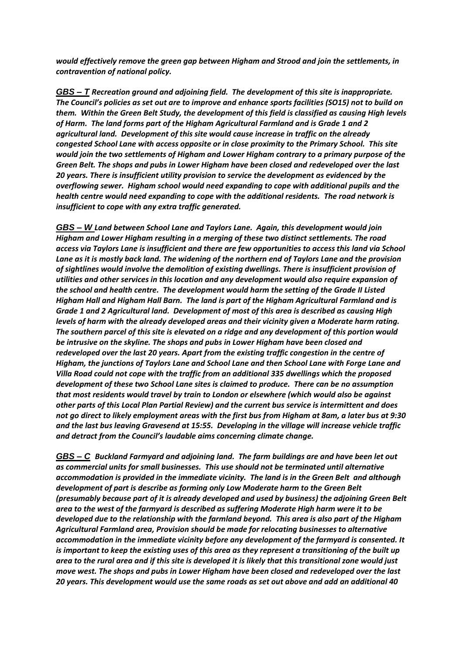*would effectively remove the green gap between Higham and Strood and join the settlements, in contravention of national policy.*

*GBS – T Recreation ground and adjoining field. The development of this site is inappropriate. The Council's policies as set out are to improve and enhance sports facilities (SO15) not to build on them. Within the Green Belt Study, the development of this field is classified as causing High levels of Harm. The land forms part of the Higham Agricultural Farmland and is Grade 1 and 2 agricultural land. Development of this site would cause increase in traffic on the already congested School Lane with access opposite or in close proximity to the Primary School. This site would join the two settlements of Higham and Lower Higham contrary to a primary purpose of the Green Belt. The shops and pubs in Lower Higham have been closed and redeveloped over the last 20 years. There is insufficient utility provision to service the development as evidenced by the overflowing sewer. Higham school would need expanding to cope with additional pupils and the health centre would need expanding to cope with the additional residents. The road network is insufficient to cope with any extra traffic generated.*

*GBS – W Land between School Lane and Taylors Lane. Again, this development would join Higham and Lower Higham resulting in a merging of these two distinct settlements. The road access via Taylors Lane is insufficient and there are few opportunities to access this land via School Lane as it is mostly back land. The widening of the northern end of Taylors Lane and the provision of sightlines would involve the demolition of existing dwellings. There is insufficient provision of utilities and other services in this location and any development would also require expansion of the school and health centre. The development would harm the setting of the Grade II Listed Higham Hall and Higham Hall Barn. The land is part of the Higham Agricultural Farmland and is Grade 1 and 2 Agricultural land. Development of most of this area is described as causing High levels of harm with the already developed areas and their vicinity given a Moderate harm rating. The southern parcel of this site is elevated on a ridge and any development of this portion would be intrusive on the skyline. The shops and pubs in Lower Higham have been closed and redeveloped over the last 20 years. Apart from the existing traffic congestion in the centre of Higham, the junctions of Taylors Lane and School Lane and then School Lane with Forge Lane and Villa Road could not cope with the traffic from an additional 335 dwellings which the proposed development of these two School Lane sites is claimed to produce. There can be no assumption that most residents would travel by train to London or elsewhere (which would also be against other parts of this Local Plan Partial Review) and the current bus service is intermittent and does not go direct to likely employment areas with the first bus from Higham at 8am, a later bus at 9:30 and the last bus leaving Gravesend at 15:55. Developing in the village will increase vehicle traffic and detract from the Council's laudable aims concerning climate change.*

*GBS – C Buckland Farmyard and adjoining land. The farm buildings are and have been let out as commercial units for small businesses. This use should not be terminated until alternative accommodation is provided in the immediate vicinity. The land is in the Green Belt and although development of part is describe as forming only Low Moderate harm to the Green Belt (presumably because part of it is already developed and used by business) the adjoining Green Belt area to the west of the farmyard is described as suffering Moderate High harm were it to be developed due to the relationship with the farmland beyond. This area is also part of the Higham Agricultural Farmland area, Provision should be made for relocating businesses to alternative accommodation in the immediate vicinity before any development of the farmyard is consented. It is important to keep the existing uses of this area as they represent a transitioning of the built up area to the rural area and if this site is developed it is likely that this transitional zone would just move west. The shops and pubs in Lower Higham have been closed and redeveloped over the last 20 years. This development would use the same roads as set out above and add an additional 40*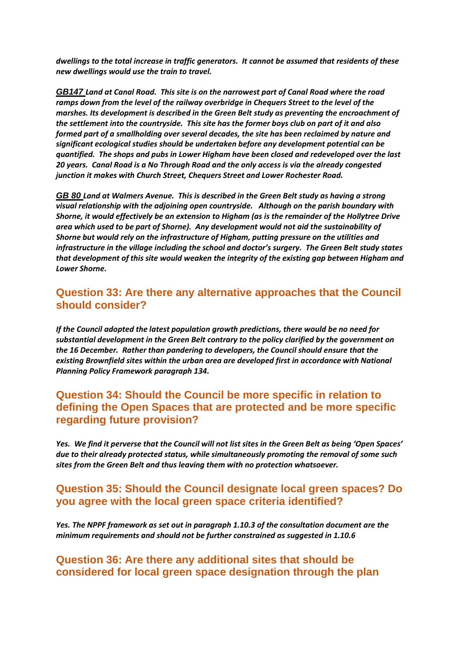*dwellings to the total increase in traffic generators. It cannot be assumed that residents of these new dwellings would use the train to travel.* 

*GB147 Land at Canal Road. This site is on the narrowest part of Canal Road where the road ramps down from the level of the railway overbridge in Chequers Street to the level of the marshes. Its development is described in the Green Belt study as preventing the encroachment of the settlement into the countryside. This site has the former boys club on part of it and also formed part of a smallholding over several decades, the site has been reclaimed by nature and significant ecological studies should be undertaken before any development potential can be quantified. The shops and pubs in Lower Higham have been closed and redeveloped over the last 20 years. Canal Road is a No Through Road and the only access is via the already congested junction it makes with Church Street, Chequers Street and Lower Rochester Road.* 

*GB 80 Land at Walmers Avenue. This is described in the Green Belt study as having a strong visual relationship with the adjoining open countryside. Although on the parish boundary with Shorne, it would effectively be an extension to Higham (as is the remainder of the Hollytree Drive area which used to be part of Shorne). Any development would not aid the sustainability of Shorne but would rely on the infrastructure of Higham, putting pressure on the utilities and infrastructure in the village including the school and doctor's surgery. The Green Belt study states that development of this site would weaken the integrity of the existing gap between Higham and Lower Shorne.*

#### **Question 33: Are there any alternative approaches that the Council should consider?**

*If the Council adopted the latest population growth predictions, there would be no need for substantial development in the Green Belt contrary to the policy clarified by the government on the 16 December. Rather than pandering to developers, the Council should ensure that the existing Brownfield sites within the urban area are developed first in accordance with National Planning Policy Framework paragraph 134.*

#### **Question 34: Should the Council be more specific in relation to defining the Open Spaces that are protected and be more specific regarding future provision?**

*Yes. We find it perverse that the Council will not list sites in the Green Belt as being 'Open Spaces' due to their already protected status, while simultaneously promoting the removal of some such sites from the Green Belt and thus leaving them with no protection whatsoever.*

#### **Question 35: Should the Council designate local green spaces? Do you agree with the local green space criteria identified?**

*Yes. The NPPF framework as set out in paragraph 1.10.3 of the consultation document are the minimum requirements and should not be further constrained as suggested in 1.10.6*

#### **Question 36: Are there any additional sites that should be considered for local green space designation through the plan**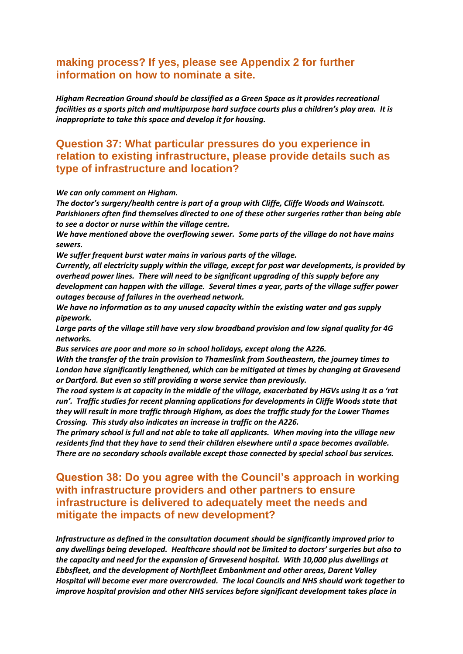#### **making process? If yes, please see Appendix 2 for further information on how to nominate a site.**

*Higham Recreation Ground should be classified as a Green Space as it provides recreational facilities as a sports pitch and multipurpose hard surface courts plus a children's play area. It is inappropriate to take this space and develop it for housing.*

#### **Question 37: What particular pressures do you experience in relation to existing infrastructure, please provide details such as type of infrastructure and location?**

#### *We can only comment on Higham.*

*The doctor's surgery/health centre is part of a group with Cliffe, Cliffe Woods and Wainscott. Parishioners often find themselves directed to one of these other surgeries rather than being able to see a doctor or nurse within the village centre.*

*We have mentioned above the overflowing sewer. Some parts of the village do not have mains sewers.*

*We suffer frequent burst water mains in various parts of the village.*

*Currently, all electricity supply within the village, except for post war developments, is provided by overhead power lines. There will need to be significant upgrading of this supply before any development can happen with the village. Several times a year, parts of the village suffer power outages because of failures in the overhead network.*

*We have no information as to any unused capacity within the existing water and gas supply pipework.*

*Large parts of the village still have very slow broadband provision and low signal quality for 4G networks.*

*Bus services are poor and more so in school holidays, except along the A226.* 

*With the transfer of the train provision to Thameslink from Southeastern, the journey times to London have significantly lengthened, which can be mitigated at times by changing at Gravesend or Dartford. But even so still providing a worse service than previously.*

*The road system is at capacity in the middle of the village, exacerbated by HGVs using it as a 'rat run'. Traffic studies for recent planning applications for developments in Cliffe Woods state that they will result in more traffic through Higham, as does the traffic study for the Lower Thames Crossing. This study also indicates an increase in traffic on the A226.*

*The primary school is full and not able to take all applicants. When moving into the village new residents find that they have to send their children elsewhere until a space becomes available. There are no secondary schools available except those connected by special school bus services.*

#### **Question 38: Do you agree with the Council's approach in working with infrastructure providers and other partners to ensure infrastructure is delivered to adequately meet the needs and mitigate the impacts of new development?**

*Infrastructure as defined in the consultation document should be significantly improved prior to any dwellings being developed. Healthcare should not be limited to doctors' surgeries but also to the capacity and need for the expansion of Gravesend hospital. With 10,000 plus dwellings at Ebbsfleet, and the development of Northfleet Embankment and other areas, Darent Valley Hospital will become ever more overcrowded. The local Councils and NHS should work together to improve hospital provision and other NHS services before significant development takes place in*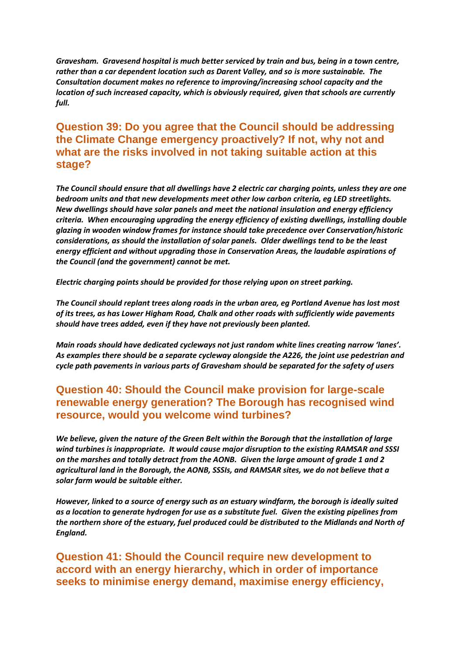*Gravesham. Gravesend hospital is much better serviced by train and bus, being in a town centre, rather than a car dependent location such as Darent Valley, and so is more sustainable. The Consultation document makes no reference to improving/increasing school capacity and the location of such increased capacity, which is obviously required, given that schools are currently full.*

#### **Question 39: Do you agree that the Council should be addressing the Climate Change emergency proactively? If not, why not and what are the risks involved in not taking suitable action at this stage?**

*The Council should ensure that all dwellings have 2 electric car charging points, unless they are one bedroom units and that new developments meet other low carbon criteria, eg LED streetlights. New dwellings should have solar panels and meet the national insulation and energy efficiency criteria. When encouraging upgrading the energy efficiency of existing dwellings, installing double glazing in wooden window frames for instance should take precedence over Conservation/historic considerations, as should the installation of solar panels. Older dwellings tend to be the least energy efficient and without upgrading those in Conservation Areas, the laudable aspirations of the Council (and the government) cannot be met.*

*Electric charging points should be provided for those relying upon on street parking.*

*The Council should replant trees along roads in the urban area, eg Portland Avenue has lost most of its trees, as has Lower Higham Road, Chalk and other roads with sufficiently wide pavements should have trees added, even if they have not previously been planted.*

*Main roads should have dedicated cycleways not just random white lines creating narrow 'lanes'. As examples there should be a separate cycleway alongside the A226, the joint use pedestrian and cycle path pavements in various parts of Gravesham should be separated for the safety of users*

#### **Question 40: Should the Council make provision for large-scale renewable energy generation? The Borough has recognised wind resource, would you welcome wind turbines?**

*We believe, given the nature of the Green Belt within the Borough that the installation of large wind turbines is inappropriate. It would cause major disruption to the existing RAMSAR and SSSI on the marshes and totally detract from the AONB. Given the large amount of grade 1 and 2 agricultural land in the Borough, the AONB, SSSIs, and RAMSAR sites, we do not believe that a solar farm would be suitable either.*

*However, linked to a source of energy such as an estuary windfarm, the borough is ideally suited as a location to generate hydrogen for use as a substitute fuel. Given the existing pipelines from the northern shore of the estuary, fuel produced could be distributed to the Midlands and North of England.*

**Question 41: Should the Council require new development to accord with an energy hierarchy, which in order of importance seeks to minimise energy demand, maximise energy efficiency,**